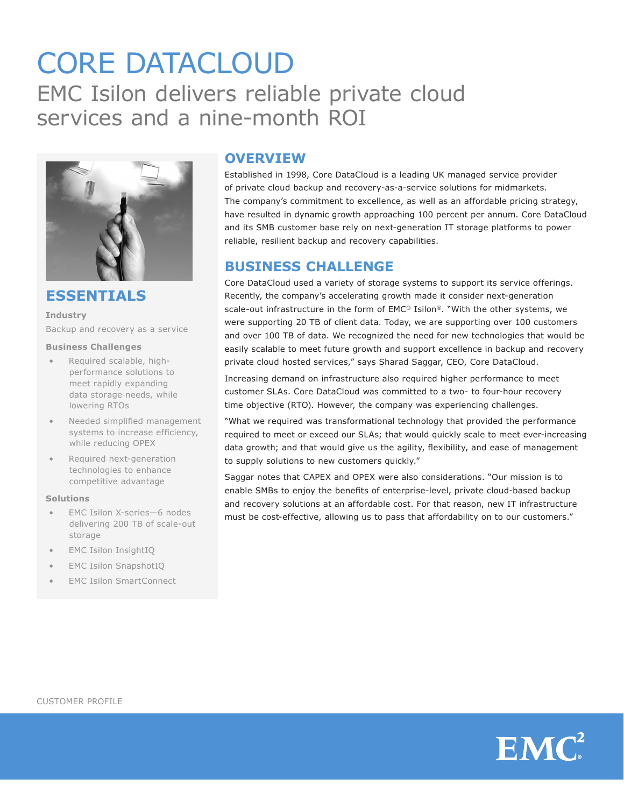# CORE DATACLOUD EMC Isilon delivers reliable private cloud services and a nine-month ROI



**ESSENTIALS**

**Industry** Backup and recovery as a service

#### **Business Challenges**

- Required scalable, highperformance solutions to meet rapidly expanding data storage needs, while lowering RTOs
- Needed simplified management systems to increase efficiency, while reducing OPEX
- Required next-generation technologies to enhance competitive advantage

#### **Solutions**

- EMC Isilon X-series-6 nodes delivering 200 TB of scale-out storage
- **EMC Isilon InsightIQ**
- **EMC Isilon SnapshotIQ**
- **EMC Isilon SmartConnect**

# **OVERVIEW**

Established in 1998, Core DataCloud is a leading UK managed service provider of private cloud backup and recovery-as-a-service solutions for midmarkets. The company's commitment to excellence, as well as an affordable pricing strategy, have resulted in dynamic growth approaching 100 percent per annum. Core DataCloud and its SMB customer base rely on next-generation IT storage platforms to power reliable, resilient backup and recovery capabilities.

# **BUSINESS CHALLENGE**

Core DataCloud used a variety of storage systems to support its service offerings. Recently, the company's accelerating growth made it consider next-generation scale-out infrastructure in the form of EMC® Isilon®. "With the other systems, we were supporting 20 TB of client data. Today, we are supporting over 100 customers and over 100 TB of data. We recognized the need for new technologies that would be easily scalable to meet future growth and support excellence in backup and recovery private cloud hosted services," says Sharad Saggar, CEO, Core DataCloud.

Increasing demand on infrastructure also required higher performance to meet customer SLAs. Core DataCloud was committed to a two- to four-hour recovery time objective (RTO). However, the company was experiencing challenges.

"What we required was transformational technology that provided the performance required to meet or exceed our SLAs; that would quickly scale to meet ever-increasing data growth; and that would give us the agility, flexibility, and ease of management to supply solutions to new customers quickly."

Saggar notes that CAPEX and OPEX were also considerations. "Our mission is to enable SMBs to enjoy the benefits of enterprise-level, private cloud-based backup and recovery solutions at an affordable cost. For that reason, new IT infrastructure must be cost-effective, allowing us to pass that affordability on to our customers."



 $EMC<sup>2</sup>$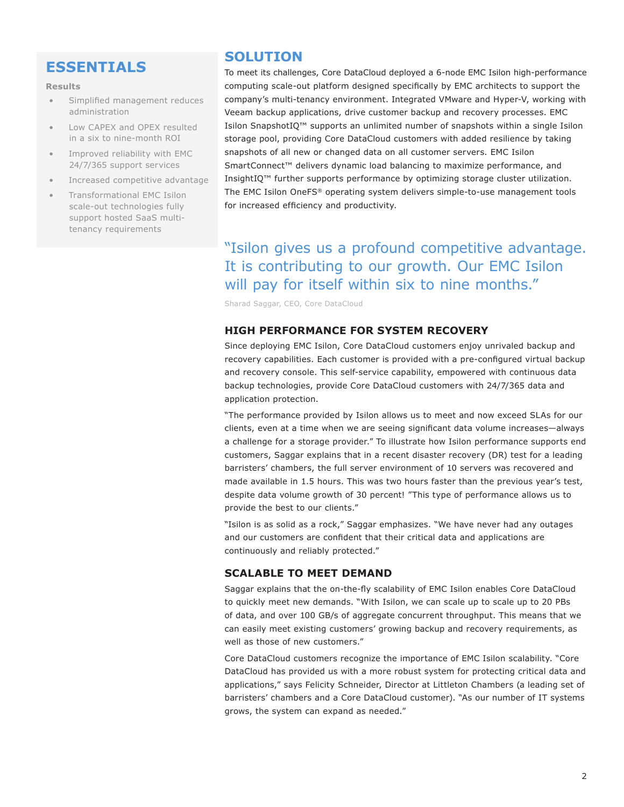# **ESSENTIALS**

#### **Results**

- • Simplified management reduces administration
- Low CAPEX and OPEX resulted in a six to nine-month ROI
- Improved reliability with EMC 24/7/365 support services
- Increased competitive advantage
- Transformational EMC Isilon scale-out technologies fully support hosted SaaS multitenancy requirements

## **SOLUTION**

To meet its challenges, Core DataCloud deployed a 6-node EMC Isilon high-performance computing scale-out platform designed specifically by EMC architects to support the company's multi-tenancy environment. Integrated VMware and Hyper-V, working with Veeam backup applications, drive customer backup and recovery processes. EMC Isilon SnapshotIQ™ supports an unlimited number of snapshots within a single Isilon storage pool, providing Core DataCloud customers with added resilience by taking snapshots of all new or changed data on all customer servers. EMC Isilon SmartConnect™ delivers dynamic load balancing to maximize performance, and InsightIQ™ further supports performance by optimizing storage cluster utilization. The EMC Isilon OneFS® operating system delivers simple-to-use management tools for increased efficiency and productivity.

# "Isilon gives us a profound competitive advantage. It is contributing to our growth. Our EMC Isilon will pay for itself within six to nine months."

Sharad Saggar, CEO, Core DataCloud

### **HIGH PERFORMANCE FOR SYSTEM RECOVERY**

Since deploying EMC Isilon, Core DataCloud customers enjoy unrivaled backup and recovery capabilities. Each customer is provided with a pre-configured virtual backup and recovery console. This self-service capability, empowered with continuous data backup technologies, provide Core DataCloud customers with 24/7/365 data and application protection.

"The performance provided by Isilon allows us to meet and now exceed SLAs for our clients, even at a time when we are seeing significant data volume increases—always a challenge for a storage provider." To illustrate how Isilon performance supports end customers, Saggar explains that in a recent disaster recovery (DR) test for a leading barristers' chambers, the full server environment of 10 servers was recovered and made available in 1.5 hours. This was two hours faster than the previous year's test, despite data volume growth of 30 percent! "This type of performance allows us to provide the best to our clients."

"Isilon is as solid as a rock," Saggar emphasizes. "We have never had any outages and our customers are confident that their critical data and applications are continuously and reliably protected."

#### **SCALABLE TO MEET DEMAND**

Saggar explains that the on-the-fly scalability of EMC Isilon enables Core DataCloud to quickly meet new demands. "With Isilon, we can scale up to scale up to 20 PBs of data, and over 100 GB/s of aggregate concurrent throughput. This means that we can easily meet existing customers' growing backup and recovery requirements, as well as those of new customers."

Core DataCloud customers recognize the importance of EMC Isilon scalability. "Core DataCloud has provided us with a more robust system for protecting critical data and applications," says Felicity Schneider, Director at Littleton Chambers (a leading set of barristers' chambers and a Core DataCloud customer). "As our number of IT systems grows, the system can expand as needed."